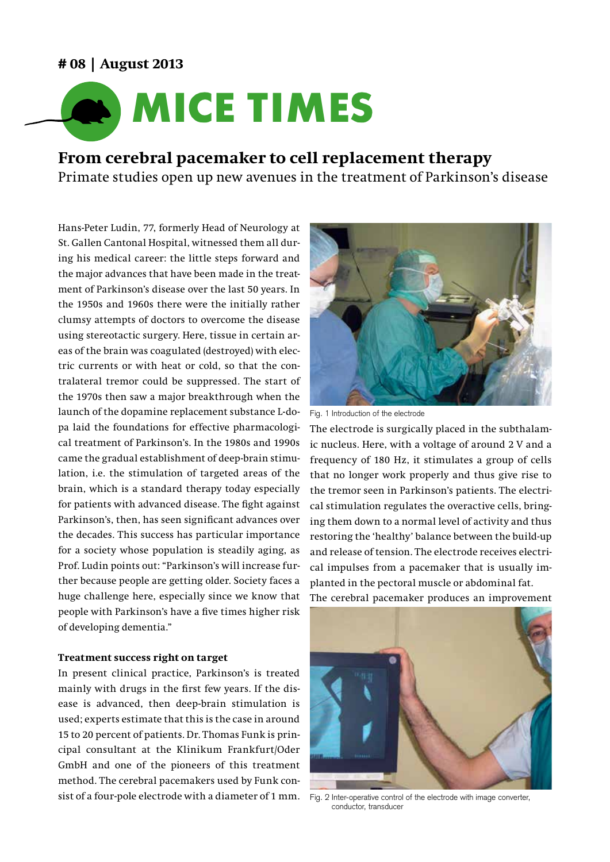## **# 08 | August 2013**



# **From cerebral pacemaker to cell replacement therapy**

Primate studies open up new avenues in the treatment of Parkinson's disease

Hans-Peter Ludin, 77, formerly Head of Neurology at St. Gallen Cantonal Hospital, witnessed them all during his medical career: the little steps forward and the major advances that have been made in the treatment of Parkinson's disease over the last 50 years. In the 1950s and 1960s there were the initially rather clumsy attempts of doctors to overcome the disease using stereotactic surgery. Here, tissue in certain areas of the brain was coagulated (destroyed) with electric currents or with heat or cold, so that the contralateral tremor could be suppressed. The start of the 1970s then saw a major breakthrough when the launch of the dopamine replacement substance L-dopa laid the foundations for effective pharmacological treatment of Parkinson's. In the 1980s and 1990s came the gradual establishment of deep-brain stimulation, i.e. the stimulation of targeted areas of the brain, which is a standard therapy today especially for patients with advanced disease. The fight against Parkinson's, then, has seen significant advances over the decades. This success has particular importance for a society whose population is steadily aging, as Prof. Ludin points out: "Parkinson's will increase further because people are getting older. Society faces a huge challenge here, especially since we know that people with Parkinson's have a five times higher risk of developing dementia."

## **Treatment success right on target**

In present clinical practice, Parkinson's is treated mainly with drugs in the first few years. If the disease is advanced, then deep-brain stimulation is used; experts estimate that this is the case in around 15 to 20 percent of patients. Dr. Thomas Funk is principal consultant at the Klinikum Frankfurt/Oder GmbH and one of the pioneers of this treatment method. The cerebral pacemakers used by Funk consist of a four-pole electrode with a diameter of 1 mm. Fig. 2 Inter-operative control of the electrode with image converter,



Fig. 1 Introduction of the electrode

The electrode is surgically placed in the subthalamic nucleus. Here, with a voltage of around 2 V and a frequency of 180 Hz, it stimulates a group of cells that no longer work properly and thus give rise to the tremor seen in Parkinson's patients. The electrical stimulation regulates the overactive cells, bringing them down to a normal level of activity and thus restoring the 'healthy' balance between the build-up and release of tension. The electrode receives electrical impulses from a pacemaker that is usually implanted in the pectoral muscle or abdominal fat.

The cerebral pacemaker produces an improvement



conductor, transducer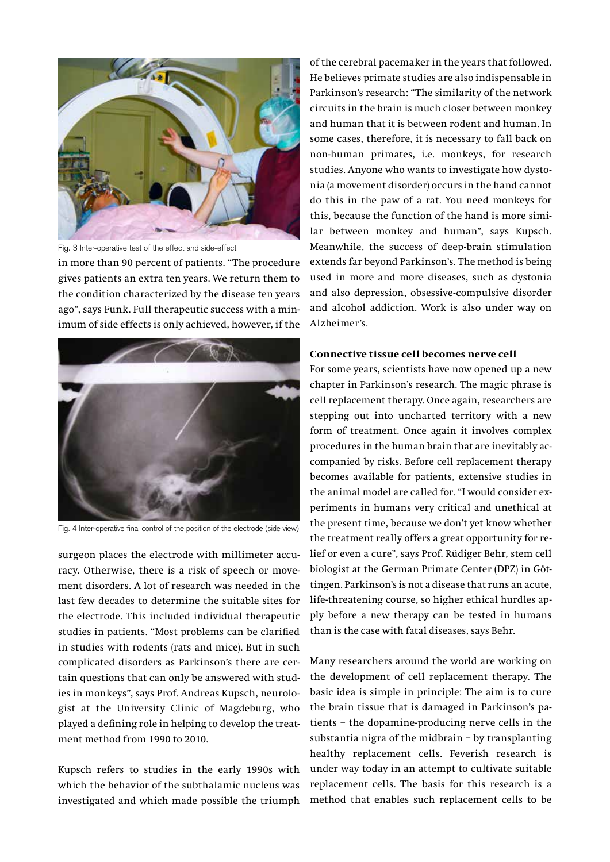

in more than 90 percent of patients. "The procedure gives patients an extra ten years. We return them to the condition characterized by the disease ten years ago", says Funk. Full therapeutic success with a minimum of side effects is only achieved, however, if the Fig. 3 Inter-operative test of the effect and side-effect



Fig. 4 Inter-operative final control of the position of the electrode (side view)

surgeon places the electrode with millimeter accuracy. Otherwise, there is a risk of speech or movement disorders. A lot of research was needed in the last few decades to determine the suitable sites for the electrode. This included individual therapeutic studies in patients. "Most problems can be clarified in studies with rodents (rats and mice). But in such complicated disorders as Parkinson's there are certain questions that can only be answered with studies in monkeys", says Prof. Andreas Kupsch, neurologist at the University Clinic of Magdeburg, who played a defining role in helping to develop the treatment method from 1990 to 2010.

Kupsch refers to studies in the early 1990s with which the behavior of the subthalamic nucleus was investigated and which made possible the triumph of the cerebral pacemaker in the years that followed. He believes primate studies are also indispensable in Parkinson's research: "The similarity of the network circuits in the brain is much closer between monkey and human that it is between rodent and human. In some cases, therefore, it is necessary to fall back on non-human primates, i.e. monkeys, for research studies. Anyone who wants to investigate how dystonia (a movement disorder) occurs in the hand cannot do this in the paw of a rat. You need monkeys for this, because the function of the hand is more similar between monkey and human", says Kupsch. Meanwhile, the success of deep-brain stimulation extends far beyond Parkinson's. The method is being used in more and more diseases, such as dystonia and also depression, obsessive-compulsive disorder and alcohol addiction. Work is also under way on Alzheimer's.

## **Connective tissue cell becomes nerve cell**

For some years, scientists have now opened up a new chapter in Parkinson's research. The magic phrase is cell replacement therapy. Once again, researchers are stepping out into uncharted territory with a new form of treatment. Once again it involves complex procedures in the human brain that are inevitably accompanied by risks. Before cell replacement therapy becomes available for patients, extensive studies in the animal model are called for. "I would consider experiments in humans very critical and unethical at the present time, because we don't yet know whether the treatment really offers a great opportunity for relief or even a cure", says Prof. Rüdiger Behr, stem cell biologist at the German Primate Center (DPZ) in Göttingen. Parkinson's is not a disease that runs an acute, life-threatening course, so higher ethical hurdles apply before a new therapy can be tested in humans than is the case with fatal diseases, says Behr.

Many researchers around the world are working on the development of cell replacement therapy. The basic idea is simple in principle: The aim is to cure the brain tissue that is damaged in Parkinson's patients – the dopamine-producing nerve cells in the substantia nigra of the midbrain – by transplanting healthy replacement cells. Feverish research is under way today in an attempt to cultivate suitable replacement cells. The basis for this research is a method that enables such replacement cells to be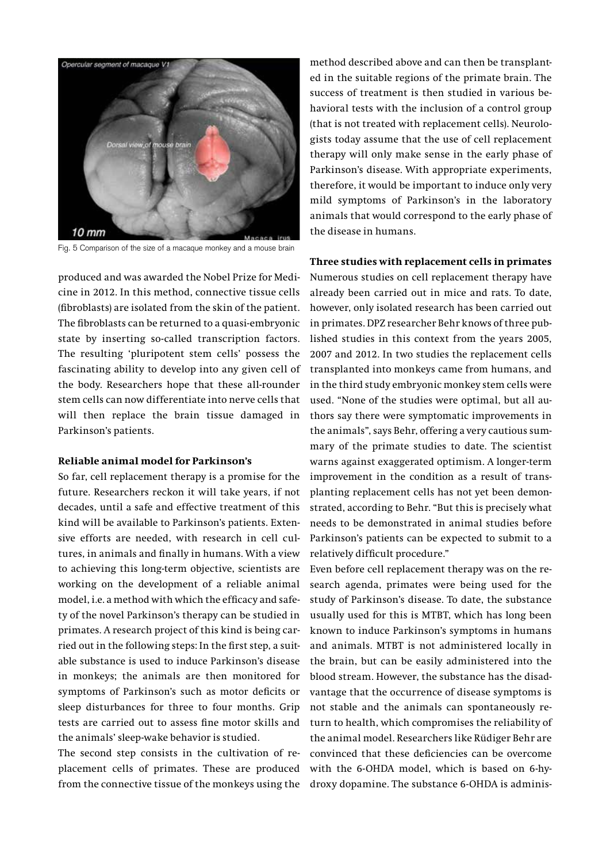

Fig. 5 Comparison of the size of a macaque monkey and a mouse brain

produced and was awarded the Nobel Prize for Medicine in 2012. In this method, connective tissue cells (fibroblasts) are isolated from the skin of the patient. The fibroblasts can be returned to a quasi-embryonic state by inserting so-called transcription factors. The resulting 'pluripotent stem cells' possess the fascinating ability to develop into any given cell of the body. Researchers hope that these all-rounder stem cells can now differentiate into nerve cells that will then replace the brain tissue damaged in Parkinson's patients.

#### **Reliable animal model for Parkinson's**

So far, cell replacement therapy is a promise for the future. Researchers reckon it will take years, if not decades, until a safe and effective treatment of this kind will be available to Parkinson's patients. Extensive efforts are needed, with research in cell cultures, in animals and finally in humans. With a view to achieving this long-term objective, scientists are working on the development of a reliable animal model, i.e. a method with which the efficacy and safety of the novel Parkinson's therapy can be studied in primates. A research project of this kind is being carried out in the following steps: In the first step, a suitable substance is used to induce Parkinson's disease in monkeys; the animals are then monitored for symptoms of Parkinson's such as motor deficits or sleep disturbances for three to four months. Grip tests are carried out to assess fine motor skills and the animals' sleep-wake behavior is studied.

The second step consists in the cultivation of replacement cells of primates. These are produced from the connective tissue of the monkeys using the

method described above and can then be transplanted in the suitable regions of the primate brain. The success of treatment is then studied in various behavioral tests with the inclusion of a control group (that is not treated with replacement cells). Neurologists today assume that the use of cell replacement therapy will only make sense in the early phase of Parkinson's disease. With appropriate experiments, therefore, it would be important to induce only very mild symptoms of Parkinson's in the laboratory animals that would correspond to the early phase of the disease in humans.

### **Three studies with replacement cells in primates**

Numerous studies on cell replacement therapy have already been carried out in mice and rats. To date, however, only isolated research has been carried out in primates. DPZ researcher Behr knows of three published studies in this context from the years 2005, 2007 and 2012. In two studies the replacement cells transplanted into monkeys came from humans, and in the third study embryonic monkey stem cells were used. "None of the studies were optimal, but all authors say there were symptomatic improvements in the animals", says Behr, offering a very cautious summary of the primate studies to date. The scientist warns against exaggerated optimism. A longer-term improvement in the condition as a result of transplanting replacement cells has not yet been demonstrated, according to Behr. "But this is precisely what needs to be demonstrated in animal studies before Parkinson's patients can be expected to submit to a relatively difficult procedure."

Even before cell replacement therapy was on the research agenda, primates were being used for the study of Parkinson's disease. To date, the substance usually used for this is MTBT, which has long been known to induce Parkinson's symptoms in humans and animals. MTBT is not administered locally in the brain, but can be easily administered into the blood stream. However, the substance has the disadvantage that the occurrence of disease symptoms is not stable and the animals can spontaneously return to health, which compromises the reliability of the animal model. Researchers like Rüdiger Behr are convinced that these deficiencies can be overcome with the 6-OHDA model, which is based on 6-hydroxy dopamine. The substance 6-OHDA is adminis-